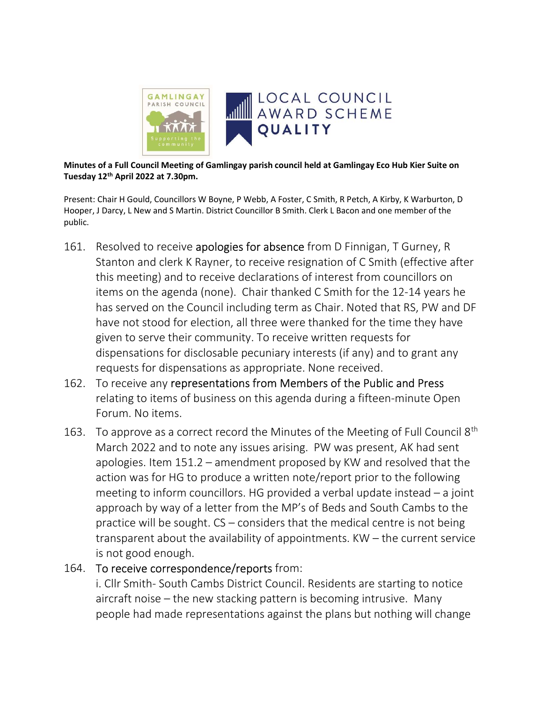

Minutes of a Full Council Meeting of Gamlingay parish council held at Gamlingay Eco Hub Kier Suite on Tuesday 12th April 2022 at 7.30pm.

Present: Chair H Gould, Councillors W Boyne, P Webb, A Foster, C Smith, R Petch, A Kirby, K Warburton, D Hooper, J Darcy, L New and S Martin. District Councillor B Smith. Clerk L Bacon and one member of the public.

- 161. Resolved to receive apologies for absence from D Finnigan, T Gurney, R Stanton and clerk K Rayner, to receive resignation of C Smith (effective after this meeting) and to receive declarations of interest from councillors on items on the agenda (none). Chair thanked C Smith for the 12-14 years he has served on the Council including term as Chair. Noted that RS, PW and DF have not stood for election, all three were thanked for the time they have given to serve their community. To receive written requests for dispensations for disclosable pecuniary interests (if any) and to grant any requests for dispensations as appropriate. None received.
- 162. To receive any representations from Members of the Public and Press relating to items of business on this agenda during a fifteen-minute Open Forum. No items.
- 163. To approve as a correct record the Minutes of the Meeting of Full Council 8<sup>th</sup> March 2022 and to note any issues arising. PW was present, AK had sent apologies. Item 151.2 – amendment proposed by KW and resolved that the action was for HG to produce a written note/report prior to the following meeting to inform councillors. HG provided a verbal update instead – a joint approach by way of a letter from the MP's of Beds and South Cambs to the practice will be sought. CS – considers that the medical centre is not being transparent about the availability of appointments. KW – the current service is not good enough.

### 164. To receive correspondence/reports from:

i. Cllr Smith- South Cambs District Council. Residents are starting to notice aircraft noise – the new stacking pattern is becoming intrusive. Many people had made representations against the plans but nothing will change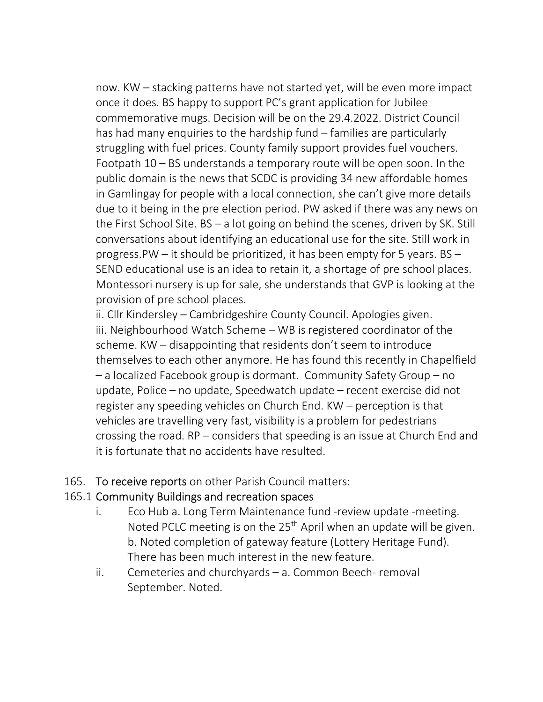now. KW – stacking patterns have not started yet, will be even more impact once it does. BS happy to support PC's grant application for Jubilee commemorative mugs. Decision will be on the 29.4.2022. District Council has had many enquiries to the hardship fund – families are particularly struggling with fuel prices. County family support provides fuel vouchers. Footpath 10 – BS understands a temporary route will be open soon. In the public domain is the news that SCDC is providing 34 new affordable homes in Gamlingay for people with a local connection, she can't give more details due to it being in the pre election period. PW asked if there was any news on the First School Site. BS – a lot going on behind the scenes, driven by SK. Still conversations about identifying an educational use for the site. Still work in progress.PW – it should be prioritized, it has been empty for 5 years. BS – SEND educational use is an idea to retain it, a shortage of pre school places. Montessori nursery is up for sale, she understands that GVP is looking at the provision of pre school places.

ii. Cllr Kindersley – Cambridgeshire County Council. Apologies given. iii. Neighbourhood Watch Scheme – WB is registered coordinator of the scheme. KW – disappointing that residents don't seem to introduce themselves to each other anymore. He has found this recently in Chapelfield – a localized Facebook group is dormant. Community Safety Group – no update, Police – no update, Speedwatch update – recent exercise did not register any speeding vehicles on Church End. KW – perception is that vehicles are travelling very fast, visibility is a problem for pedestrians crossing the road. RP – considers that speeding is an issue at Church End and it is fortunate that no accidents have resulted.

165. To receive reports on other Parish Council matters:

# 165.1 Community Buildings and recreation spaces

- i. Eco Hub a. Long Term Maintenance fund -review update -meeting. Noted PCLC meeting is on the  $25<sup>th</sup>$  April when an update will be given. b. Noted completion of gateway feature (Lottery Heritage Fund). There has been much interest in the new feature.
- ii. Cemeteries and churchyards a. Common Beech- removal September. Noted.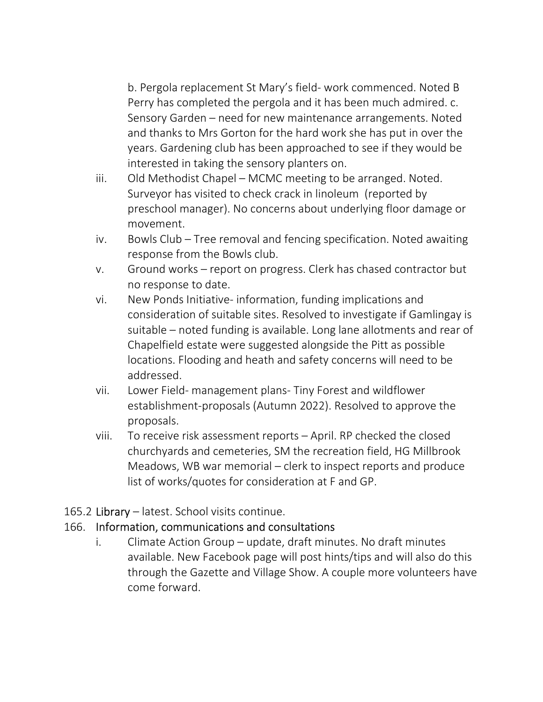b. Pergola replacement St Mary's field- work commenced. Noted B Perry has completed the pergola and it has been much admired. c. Sensory Garden – need for new maintenance arrangements. Noted and thanks to Mrs Gorton for the hard work she has put in over the years. Gardening club has been approached to see if they would be interested in taking the sensory planters on.

- iii. Old Methodist Chapel MCMC meeting to be arranged. Noted. Surveyor has visited to check crack in linoleum (reported by preschool manager). No concerns about underlying floor damage or movement.
- iv. Bowls Club Tree removal and fencing specification. Noted awaiting response from the Bowls club.
- v. Ground works report on progress. Clerk has chased contractor but no response to date.
- vi. New Ponds Initiative- information, funding implications and consideration of suitable sites. Resolved to investigate if Gamlingay is suitable – noted funding is available. Long lane allotments and rear of Chapelfield estate were suggested alongside the Pitt as possible locations. Flooding and heath and safety concerns will need to be addressed.
- vii. Lower Field- management plans- Tiny Forest and wildflower establishment-proposals (Autumn 2022). Resolved to approve the proposals.
- viii. To receive risk assessment reports April. RP checked the closed churchyards and cemeteries, SM the recreation field, HG Millbrook Meadows, WB war memorial – clerk to inspect reports and produce list of works/quotes for consideration at F and GP.

# 165.2 Library – latest. School visits continue.

### 166. Information, communications and consultations

i. Climate Action Group – update, draft minutes. No draft minutes available. New Facebook page will post hints/tips and will also do this through the Gazette and Village Show. A couple more volunteers have come forward.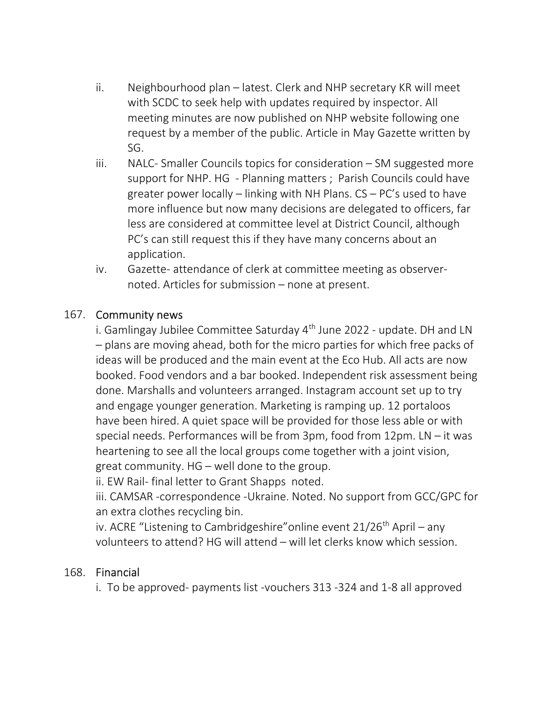- ii. Neighbourhood plan latest. Clerk and NHP secretary KR will meet with SCDC to seek help with updates required by inspector. All meeting minutes are now published on NHP website following one request by a member of the public. Article in May Gazette written by SG.
- iii. NALC- Smaller Councils topics for consideration SM suggested more support for NHP. HG - Planning matters ; Parish Councils could have greater power locally – linking with NH Plans. CS – PC's used to have more influence but now many decisions are delegated to officers, far less are considered at committee level at District Council, although PC's can still request this if they have many concerns about an application.
- iv. Gazette- attendance of clerk at committee meeting as observernoted. Articles for submission – none at present.

### 167. Community news

i. Gamlingay Jubilee Committee Saturday 4<sup>th</sup> June 2022 - update. DH and LN – plans are moving ahead, both for the micro parties for which free packs of ideas will be produced and the main event at the Eco Hub. All acts are now booked. Food vendors and a bar booked. Independent risk assessment being done. Marshalls and volunteers arranged. Instagram account set up to try and engage younger generation. Marketing is ramping up. 12 portaloos have been hired. A quiet space will be provided for those less able or with special needs. Performances will be from 3pm, food from 12pm. LN – it was heartening to see all the local groups come together with a joint vision, great community. HG – well done to the group.

ii. EW Rail- final letter to Grant Shapps noted.

 iii. CAMSAR -correspondence -Ukraine. Noted. No support from GCC/GPC for an extra clothes recycling bin.

iv. ACRE "Listening to Cambridgeshire" online event  $21/26$ <sup>th</sup> April – any volunteers to attend? HG will attend – will let clerks know which session.

### 168. Financial

i. To be approved- payments list -vouchers 313 -324 and 1-8 all approved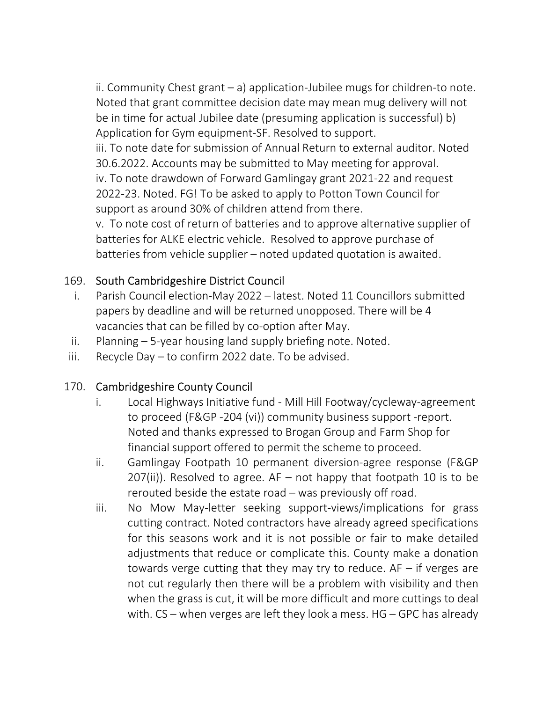ii. Community Chest grant – a) application-Jubilee mugs for children-to note. Noted that grant committee decision date may mean mug delivery will not be in time for actual Jubilee date (presuming application is successful) b) Application for Gym equipment-SF. Resolved to support.

 iii. To note date for submission of Annual Return to external auditor. Noted 30.6.2022. Accounts may be submitted to May meeting for approval. iv. To note drawdown of Forward Gamlingay grant 2021-22 and request 2022-23. Noted. FG! To be asked to apply to Potton Town Council for support as around 30% of children attend from there.

 v. To note cost of return of batteries and to approve alternative supplier of batteries for ALKE electric vehicle. Resolved to approve purchase of batteries from vehicle supplier – noted updated quotation is awaited.

# 169. South Cambridgeshire District Council

- i. Parish Council election-May 2022 latest. Noted 11 Councillors submitted papers by deadline and will be returned unopposed. There will be 4 vacancies that can be filled by co-option after May.
- ii. Planning 5-year housing land supply briefing note. Noted.
- iii. Recycle Day to confirm 2022 date. To be advised.

# 170. Cambridgeshire County Council

- i. Local Highways Initiative fund Mill Hill Footway/cycleway-agreement to proceed (F&GP -204 (vi)) community business support -report. Noted and thanks expressed to Brogan Group and Farm Shop for financial support offered to permit the scheme to proceed.
- ii. Gamlingay Footpath 10 permanent diversion-agree response (F&GP  $207(ii)$ ). Resolved to agree. AF – not happy that footpath 10 is to be rerouted beside the estate road – was previously off road.
- iii. No Mow May-letter seeking support-views/implications for grass cutting contract. Noted contractors have already agreed specifications for this seasons work and it is not possible or fair to make detailed adjustments that reduce or complicate this. County make a donation towards verge cutting that they may try to reduce. AF – if verges are not cut regularly then there will be a problem with visibility and then when the grass is cut, it will be more difficult and more cuttings to deal with. CS – when verges are left they look a mess. HG – GPC has already